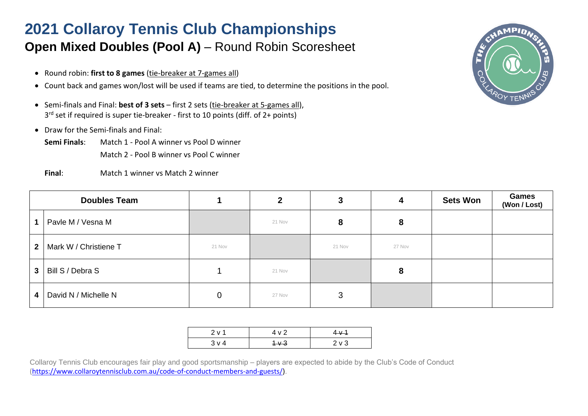## **2021 Collaroy Tennis Club Championships Open Mixed Doubles (Pool A)** – Round Robin Scoresheet

- Round robin: **first to 8 games** (tie-breaker at 7-games all)
- Count back and games won/lost will be used if teams are tied, to determine the positions in the pool.
- Semi-finals and Final: **best of 3 sets** first 2 sets (tie-breaker at 5-games all), 3 rd set if required is super tie-breaker - first to 10 points (diff. of 2+ points)
- Draw for the Semi-finals and Final:
	- **Semi Finals**: Match 1 Pool A winner vs Pool D winner Match 2 - Pool B winner vs Pool C winner
	- **Final**: Match 1 winner vs Match 2 winner



| <b>Doubles Team</b> |                       |        | 2      | 3      | 4      | <b>Sets Won</b> | <b>Games</b><br>(Won / Lost) |
|---------------------|-----------------------|--------|--------|--------|--------|-----------------|------------------------------|
|                     | Pavle M / Vesna M     |        | 21 Nov | 8      | 8      |                 |                              |
| $\mathbf{2}$        | Mark W / Christiene T | 21 Nov |        | 21 Nov | 27 Nov |                 |                              |
| 3                   | Bill S / Debra S      |        | 21 Nov |        | 8      |                 |                              |
| 4                   | David N / Michelle N  | 0      | 27 Nov | 3      |        |                 |                              |

| 2 v 1 | 4 v 2       | $4 \times 4$ |
|-------|-------------|--------------|
| 3 v 4 | $+\sqrt{3}$ | $2V$ 3       |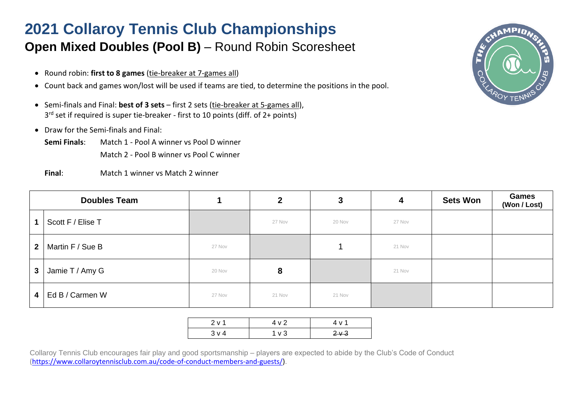## **2021 Collaroy Tennis Club Championships Open Mixed Doubles (Pool B)** – Round Robin Scoresheet

- Round robin: **first to 8 games** (tie-breaker at 7-games all)
- Count back and games won/lost will be used if teams are tied, to determine the positions in the pool.
- Semi-finals and Final: **best of 3 sets** first 2 sets (tie-breaker at 5-games all), 3 rd set if required is super tie-breaker - first to 10 points (diff. of 2+ points)
- Draw for the Semi-finals and Final:
	- **Semi Finals**: Match 1 Pool A winner vs Pool D winner Match 2 - Pool B winner vs Pool C winner
	- **Final**: Match 1 winner vs Match 2 winner



| <b>Doubles Team</b> |                       |        | $\mathbf{2}$ | 3      | 4      | <b>Sets Won</b> | <b>Games</b><br>(Won / Lost) |
|---------------------|-----------------------|--------|--------------|--------|--------|-----------------|------------------------------|
|                     | Scott F / Elise T     |        | 27 Nov       | 20 Nov | 27 Nov |                 |                              |
| 2 <sup>1</sup>      | Martin F / Sue B      | 27 Nov |              |        | 21 Nov |                 |                              |
| $\mathbf{3}$        | Jamie T / Amy G       | 20 Nov | 8            |        | 21 Nov |                 |                              |
|                     | $4$   Ed B / Carmen W | 27 Nov | 21 Nov       | 21 Nov |        |                 |                              |

| 2 v 1      | 4 v 2            | 4 v 1 |
|------------|------------------|-------|
| $3 \vee 4$ | 1 <sub>V</sub> 3 | $2+3$ |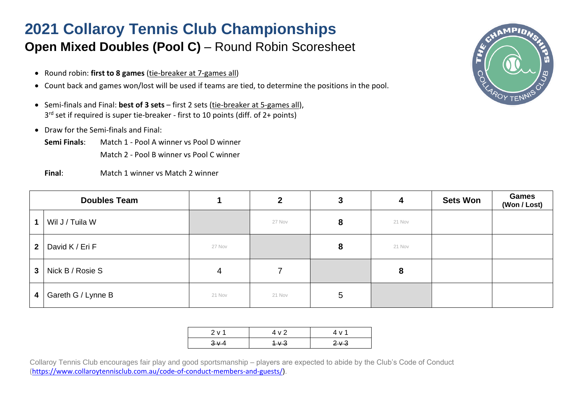## **2021 Collaroy Tennis Club Championships Open Mixed Doubles (Pool C)** – Round Robin Scoresheet

- Round robin: **first to 8 games** (tie-breaker at 7-games all)
- Count back and games won/lost will be used if teams are tied, to determine the positions in the pool.
- Semi-finals and Final: **best of 3 sets** first 2 sets (tie-breaker at 5-games all), 3 rd set if required is super tie-breaker - first to 10 points (diff. of 2+ points)
- Draw for the Semi-finals and Final:
	- **Semi Finals**: Match 1 Pool A winner vs Pool D winner Match 2 - Pool B winner vs Pool C winner
	- **Final**: Match 1 winner vs Match 2 winner



| <b>Doubles Team</b> |                    |        | $\mathbf{2}$ | 3 | 4      | <b>Sets Won</b> | <b>Games</b><br>(Won / Lost) |
|---------------------|--------------------|--------|--------------|---|--------|-----------------|------------------------------|
|                     | Wil J / Tuila W    |        | 27 Nov       | 8 | 21 Nov |                 |                              |
| $\overline{2}$      | David K / Eri F    | 27 Nov |              | 8 | 21 Nov |                 |                              |
| $\mathbf{3}$        | Nick B / Rosie S   | 4      |              |   | 8      |                 |                              |
| 4                   | Gareth G / Lynne B | 21 Nov | 21 Nov       | 5 |        |                 |                              |

| 2 v 1 | 4 v 2       | 4 v 1    |
|-------|-------------|----------|
| $3+4$ | $+\sqrt{3}$ | $2\nu$ 3 |
|       |             |          |